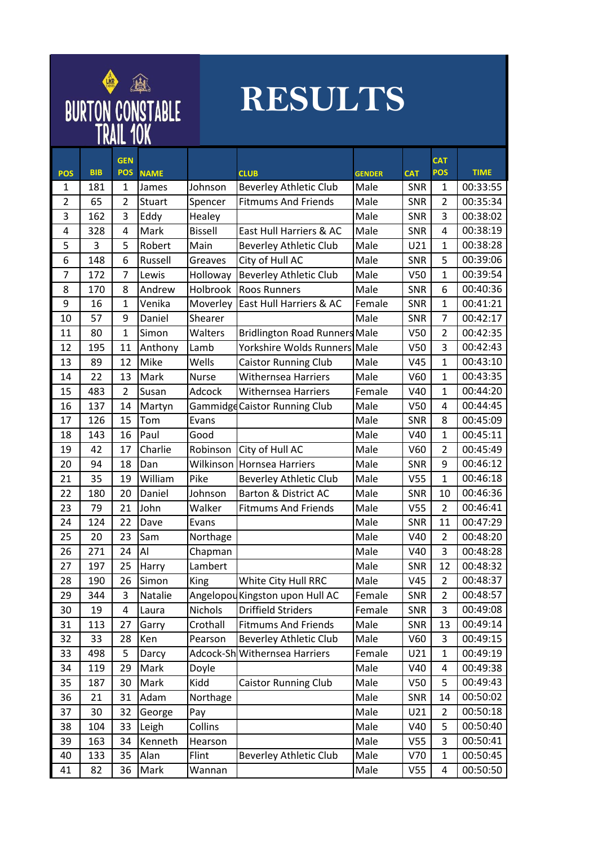

## **RESULTS**

| <b>POS</b>     | <b>BIB</b> | <b>GEN</b><br><b>POS</b> | <b>NAME</b> |                | <b>CLUB</b>                          | <b>GENDER</b> | <b>CAT</b>      | <b>CAT</b><br><b>POS</b> | <b>TIME</b> |
|----------------|------------|--------------------------|-------------|----------------|--------------------------------------|---------------|-----------------|--------------------------|-------------|
| 1              | 181        | 1                        | James       | Johnson        | <b>Beverley Athletic Club</b>        | Male          | <b>SNR</b>      | 1                        | 00:33:55    |
| $\overline{2}$ | 65         | $\overline{2}$           | Stuart      | Spencer        | <b>Fitmums And Friends</b>           | Male          | SNR             | $\overline{2}$           | 00:35:34    |
| 3              | 162        | 3                        | Eddy        | Healey         |                                      | Male          | SNR             | 3                        | 00:38:02    |
| 4              | 328        | 4                        | Mark        | <b>Bissell</b> | East Hull Harriers & AC              | Male          | SNR             | 4                        | 00:38:19    |
| 5              | 3          | 5                        | Robert      | Main           | <b>Beverley Athletic Club</b>        | Male          | U21             | $\mathbf{1}$             | 00:38:28    |
| 6              | 148        | 6                        | Russell     | Greaves        | City of Hull AC                      | Male          | SNR             | 5                        | 00:39:06    |
| $\overline{7}$ | 172        | $\overline{7}$           | Lewis       | Holloway       | <b>Beverley Athletic Club</b>        | Male          | V <sub>50</sub> | $\mathbf{1}$             | 00:39:54    |
| 8              | 170        | 8                        | Andrew      | Holbrook       | <b>Roos Runners</b>                  | Male          | SNR             | 6                        | 00:40:36    |
| 9              | 16         | 1                        | Venika      | Moverley       | East Hull Harriers & AC              | Female        | SNR             | $\mathbf{1}$             | 00:41:21    |
| 10             | 57         | 9                        | Daniel      | Shearer        |                                      | Male          | SNR             | 7                        | 00:42:17    |
| 11             | 80         | 1                        | Simon       | Walters        | <b>Bridlington Road Runners Male</b> |               | V <sub>50</sub> | 2                        | 00:42:35    |
| 12             | 195        | 11                       | Anthony     | Lamb           | Yorkshire Wolds Runners Male         |               | V <sub>50</sub> | 3                        | 00:42:43    |
| 13             | 89         | 12                       | Mike        | Wells          | <b>Caistor Running Club</b>          | Male          | V45             | $\mathbf{1}$             | 00:43:10    |
| 14             | 22         | 13                       | Mark        | <b>Nurse</b>   | <b>Withernsea Harriers</b>           | Male          | V60             | $\mathbf{1}$             | 00:43:35    |
| 15             | 483        | 2                        | Susan       | Adcock         | <b>Withernsea Harriers</b>           | Female        | V40             | 1                        | 00:44:20    |
| 16             | 137        | 14                       | Martyn      |                | Gammidge Caistor Running Club        | Male          | V <sub>50</sub> | 4                        | 00:44:45    |
| 17             | 126        | 15                       | Tom         | Evans          |                                      | Male          | SNR             | 8                        | 00:45:09    |
| 18             | 143        | 16                       | Paul        | Good           |                                      | Male          | V40             | $\mathbf{1}$             | 00:45:11    |
| 19             | 42         | 17                       | Charlie     | Robinson       | City of Hull AC                      | Male          | V60             | $\overline{2}$           | 00:45:49    |
| 20             | 94         | 18                       | Dan         | Wilkinson      | <b>Hornsea Harriers</b>              | Male          | <b>SNR</b>      | 9                        | 00:46:12    |
| 21             | 35         | 19                       | William     | Pike           | <b>Beverley Athletic Club</b>        | Male          | V <sub>55</sub> | $\mathbf{1}$             | 00:46:18    |
| 22             | 180        | 20                       | Daniel      | Johnson        | Barton & District AC                 | Male          | SNR             | 10                       | 00:46:36    |
| 23             | 79         | 21                       | John        | Walker         | <b>Fitmums And Friends</b>           | Male          | V <sub>55</sub> | $\overline{2}$           | 00:46:41    |
| 24             | 124        | 22                       | Dave        | Evans          |                                      | Male          | SNR             | 11                       | 00:47:29    |
| 25             | 20         | 23                       | Sam         | Northage       |                                      | Male          | V40             | $\overline{2}$           | 00:48:20    |
| 26             | 271        | 24                       | Al          | Chapman        |                                      | Male          | V40             | 3                        | 00:48:28    |
| 27             | 197        | 25                       | Harry       | Lambert        |                                      | Male          | <b>SNR</b>      | 12                       | 00:48:32    |
| 28             | 190        | 26                       | Simon       | King           | White City Hull RRC                  | Male          | V45             | $\overline{2}$           | 00:48:37    |
| 29             | 344        | 3                        | Natalie     |                | Angelopou Kingston upon Hull AC      | Female        | SNR             | $\overline{2}$           | 00:48:57    |
| 30             | 19         | 4                        | Laura       | Nichols        | <b>Driffield Striders</b>            | Female        | SNR             | 3                        | 00:49:08    |
| 31             | 113        | 27                       | Garry       | Crothall       | <b>Fitmums And Friends</b>           | Male          | SNR             | 13                       | 00:49:14    |
| 32             | 33         | 28                       | Ken         | Pearson        | <b>Beverley Athletic Club</b>        | Male          | V60             | 3                        | 00:49:15    |
| 33             | 498        | 5                        | Darcy       |                | Adcock-Sh Withernsea Harriers        | Female        | U21             | $\mathbf{1}$             | 00:49:19    |
| 34             | 119        | 29                       | Mark        | Doyle          |                                      | Male          | V40             | 4                        | 00:49:38    |
| 35             | 187        | 30                       | Mark        | Kidd           | <b>Caistor Running Club</b>          | Male          | V <sub>50</sub> | 5                        | 00:49:43    |
| 36             | 21         | 31                       | Adam        | Northage       |                                      | Male          | SNR             | 14                       | 00:50:02    |
| 37             | 30         | 32                       | George      | Pay            |                                      | Male          | U21             | 2                        | 00:50:18    |
| 38             | 104        | 33                       | Leigh       | Collins        |                                      | Male          | V40             | 5                        | 00:50:40    |
| 39             | 163        | 34                       | Kenneth     | Hearson        |                                      | Male          | V <sub>55</sub> | 3                        | 00:50:41    |
| 40             | 133        | 35                       | Alan        | Flint          | <b>Beverley Athletic Club</b>        | Male          | V70             | $\mathbf{1}$             | 00:50:45    |
| 41             | 82         | 36                       | Mark        | Wannan         |                                      | Male          | V <sub>55</sub> | 4                        | 00:50:50    |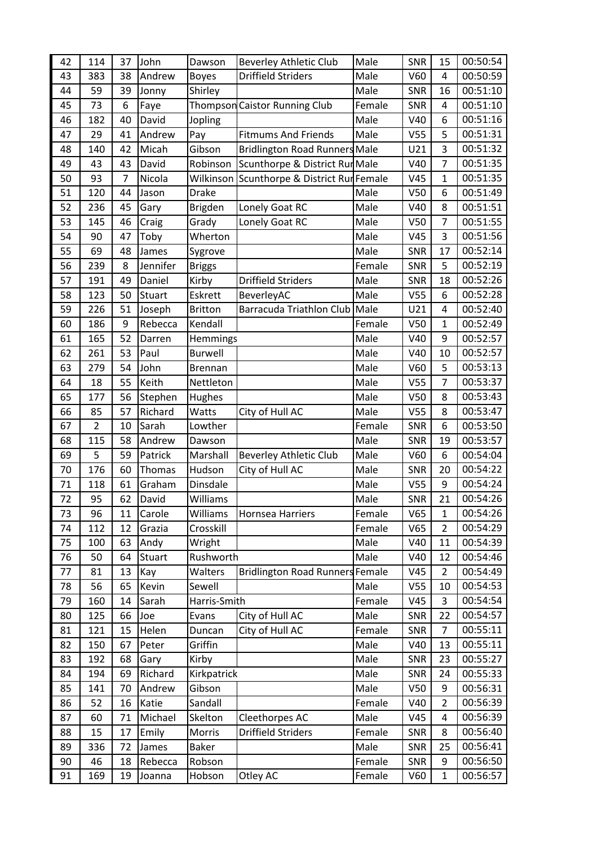| 42 | 114            | 37 | John     | Dawson         | <b>Beverley Athletic Club</b>          | Male   | SNR             | 15             | 00:50:54 |
|----|----------------|----|----------|----------------|----------------------------------------|--------|-----------------|----------------|----------|
| 43 | 383            | 38 | Andrew   | <b>Boyes</b>   | <b>Driffield Striders</b>              | Male   | V60             | 4              | 00:50:59 |
| 44 | 59             | 39 | Jonny    | Shirley        |                                        | Male   | SNR             | 16             | 00:51:10 |
| 45 | 73             | 6  | Faye     | Thompson       | <b>Caistor Running Club</b>            | Female | SNR             | 4              | 00:51:10 |
| 46 | 182            | 40 | David    | Jopling        |                                        | Male   | V40             | 6              | 00:51:16 |
| 47 | 29             | 41 | Andrew   | Pay            | <b>Fitmums And Friends</b>             | Male   | V <sub>55</sub> | 5              | 00:51:31 |
| 48 | 140            | 42 | Micah    | Gibson         | <b>Bridlington Road Runners Male</b>   |        | U21             | 3              | 00:51:32 |
| 49 | 43             | 43 | David    | Robinson       | Scunthorpe & District Rur Male         |        | V40             | 7              | 00:51:35 |
| 50 | 93             | 7  | Nicola   | Wilkinson      | Scunthorpe & District Rur Female       |        | V45             | $\mathbf 1$    | 00:51:35 |
| 51 | 120            | 44 | Jason    | <b>Drake</b>   |                                        | Male   | V <sub>50</sub> | 6              | 00:51:49 |
| 52 | 236            | 45 | Gary     | <b>Brigden</b> | Lonely Goat RC                         | Male   | V40             | 8              | 00:51:51 |
| 53 | 145            | 46 | Craig    | Grady          | Lonely Goat RC                         | Male   | V <sub>50</sub> | 7              | 00:51:55 |
| 54 | 90             | 47 | Toby     | Wherton        |                                        | Male   | V45             | 3              | 00:51:56 |
| 55 | 69             | 48 | James    | Sygrove        |                                        | Male   | <b>SNR</b>      | 17             | 00:52:14 |
| 56 | 239            | 8  | Jennifer | <b>Briggs</b>  |                                        | Female | SNR             | 5              | 00:52:19 |
| 57 | 191            | 49 | Daniel   | Kirby          | <b>Driffield Striders</b>              | Male   | SNR             | 18             | 00:52:26 |
| 58 | 123            | 50 | Stuart   | Eskrett        | BeverleyAC                             | Male   | V <sub>55</sub> | 6              | 00:52:28 |
| 59 | 226            | 51 | Joseph   | <b>Britton</b> | Barracuda Triathlon Club               | Male   | U21             | 4              | 00:52:40 |
| 60 | 186            | 9  | Rebecca  | Kendall        |                                        | Female | V <sub>50</sub> | $\mathbf{1}$   | 00:52:49 |
| 61 | 165            | 52 | Darren   | Hemmings       |                                        | Male   | V40             | 9              | 00:52:57 |
| 62 | 261            | 53 | Paul     | <b>Burwell</b> |                                        | Male   | V40             | 10             | 00:52:57 |
| 63 | 279            | 54 | John     | <b>Brennan</b> |                                        | Male   | V60             | 5              | 00:53:13 |
| 64 | 18             | 55 | Keith    | Nettleton      |                                        | Male   | V <sub>55</sub> | 7              | 00:53:37 |
| 65 | 177            | 56 | Stephen  | Hughes         |                                        | Male   | V <sub>50</sub> | 8              | 00:53:43 |
| 66 | 85             | 57 | Richard  | Watts          | City of Hull AC                        | Male   | V <sub>55</sub> | 8              | 00:53:47 |
| 67 | $\overline{2}$ | 10 | Sarah    | Lowther        |                                        | Female | <b>SNR</b>      | 6              | 00:53:50 |
| 68 | 115            | 58 | Andrew   | Dawson         |                                        | Male   | <b>SNR</b>      | 19             | 00:53:57 |
| 69 | 5              | 59 | Patrick  | Marshall       | <b>Beverley Athletic Club</b>          | Male   | V60             | 6              | 00:54:04 |
| 70 | 176            | 60 | Thomas   | Hudson         | City of Hull AC                        | Male   | SNR             | 20             | 00:54:22 |
| 71 | 118            | 61 | Graham   | Dinsdale       |                                        | Male   | V <sub>55</sub> | 9              | 00:54:24 |
| 72 | 95             | 62 | David    | Williams       |                                        | Male   | SNR             | 21             | 00:54:26 |
| 73 | 96             | 11 | Carole   | Williams       | <b>Hornsea Harriers</b>                | Female | V65             | 1              | 00:54:26 |
| 74 | 112            | 12 | Grazia   | Crosskill      |                                        | Female | V65             | $\overline{2}$ | 00:54:29 |
| 75 | 100            | 63 | Andy     | Wright         |                                        | Male   | V40             | 11             | 00:54:39 |
| 76 | 50             | 64 | Stuart   | Rushworth      |                                        | Male   | V40             | 12             | 00:54:46 |
| 77 | 81             | 13 | Kay      | Walters        | <b>Bridlington Road Runners Female</b> |        | V45             | $\overline{2}$ | 00:54:49 |
| 78 | 56             | 65 | Kevin    | Sewell         |                                        | Male   | V <sub>55</sub> | 10             | 00:54:53 |
| 79 | 160            | 14 | Sarah    | Harris-Smith   |                                        | Female | V45             | 3              | 00:54:54 |
| 80 | 125            | 66 | Joe      | Evans          | City of Hull AC                        | Male   | SNR             | 22             | 00:54:57 |
| 81 | 121            | 15 | Helen    | Duncan         | City of Hull AC                        | Female | SNR             | 7              | 00:55:11 |
| 82 | 150            | 67 | Peter    | Griffin        |                                        | Male   | V40             | 13             | 00:55:11 |
| 83 | 192            | 68 | Gary     | Kirby          |                                        | Male   | <b>SNR</b>      | 23             | 00:55:27 |
| 84 | 194            | 69 | Richard  | Kirkpatrick    |                                        | Male   | SNR             | 24             | 00:55:33 |
| 85 | 141            | 70 | Andrew   | Gibson         |                                        | Male   | V <sub>50</sub> | 9              | 00:56:31 |
| 86 | 52             | 16 | Katie    | Sandall        |                                        | Female | V40             | $\overline{2}$ | 00:56:39 |
| 87 | 60             | 71 | Michael  | Skelton        | Cleethorpes AC                         | Male   | V45             | 4              | 00:56:39 |
| 88 | 15             | 17 | Emily    | Morris         | <b>Driffield Striders</b>              | Female | <b>SNR</b>      | 8              | 00:56:40 |
| 89 | 336            | 72 | James    | <b>Baker</b>   |                                        | Male   | SNR             | 25             | 00:56:41 |
| 90 | 46             | 18 | Rebecca  | Robson         |                                        | Female | <b>SNR</b>      | 9              | 00:56:50 |
| 91 | 169            | 19 | Joanna   | Hobson         | Otley AC                               | Female | V60             | $\mathbf 1$    | 00:56:57 |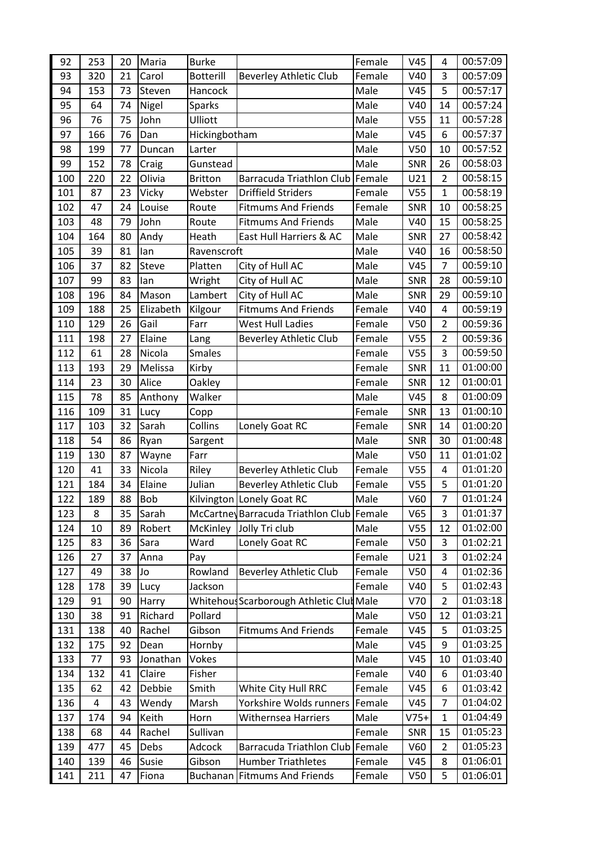| 92  | 253 | 20 | Maria     | <b>Burke</b>     |                                           | Female | V45             | 4              | 00:57:09 |
|-----|-----|----|-----------|------------------|-------------------------------------------|--------|-----------------|----------------|----------|
| 93  | 320 | 21 | Carol     | <b>Botterill</b> | <b>Beverley Athletic Club</b>             | Female | V40             | 3              | 00:57:09 |
| 94  | 153 | 73 | Steven    | Hancock          |                                           | Male   | V45             | 5              | 00:57:17 |
| 95  | 64  | 74 | Nigel     | <b>Sparks</b>    |                                           | Male   | V40             | 14             | 00:57:24 |
| 96  | 76  | 75 | John      | Ulliott          |                                           | Male   | V <sub>55</sub> | 11             | 00:57:28 |
| 97  | 166 | 76 | Dan       | Hickingbotham    |                                           | Male   | V45             | 6              | 00:57:37 |
| 98  | 199 | 77 | Duncan    | Larter           |                                           | Male   | V <sub>50</sub> | 10             | 00:57:52 |
| 99  | 152 | 78 | Craig     | Gunstead         |                                           | Male   | SNR             | 26             | 00:58:03 |
| 100 | 220 | 22 | Olivia    | <b>Britton</b>   | Barracuda Triathlon Club Female           |        | U21             | $\overline{2}$ | 00:58:15 |
| 101 | 87  | 23 | Vicky     | Webster          | <b>Driffield Striders</b>                 | Female | V <sub>55</sub> | $\mathbf{1}$   | 00:58:19 |
| 102 | 47  | 24 | Louise    | Route            | <b>Fitmums And Friends</b>                | Female | <b>SNR</b>      | 10             | 00:58:25 |
| 103 | 48  | 79 | John      | Route            | <b>Fitmums And Friends</b>                | Male   | V40             | 15             | 00:58:25 |
| 104 | 164 | 80 | Andy      | Heath            | East Hull Harriers & AC                   | Male   | SNR             | 27             | 00:58:42 |
| 105 | 39  | 81 | lan       | Ravenscroft      |                                           | Male   | V40             | 16             | 00:58:50 |
| 106 | 37  | 82 | Steve     | Platten          | City of Hull AC                           | Male   | V45             | $\overline{7}$ | 00:59:10 |
| 107 | 99  | 83 | lan       | Wright           | City of Hull AC                           | Male   | SNR             | 28             | 00:59:10 |
| 108 | 196 | 84 | Mason     | Lambert          | City of Hull AC                           | Male   | SNR             | 29             | 00:59:10 |
| 109 | 188 | 25 | Elizabeth | Kilgour          | <b>Fitmums And Friends</b>                | Female | V40             | 4              | 00:59:19 |
| 110 | 129 | 26 | Gail      | Farr             | <b>West Hull Ladies</b>                   | Female | V <sub>50</sub> | $\overline{2}$ | 00:59:36 |
| 111 | 198 | 27 | Elaine    | Lang             | <b>Beverley Athletic Club</b>             | Female | V <sub>55</sub> | $\overline{2}$ | 00:59:36 |
| 112 | 61  | 28 | Nicola    | <b>Smales</b>    |                                           | Female | V <sub>55</sub> | 3              | 00:59:50 |
| 113 | 193 | 29 | Melissa   | Kirby            |                                           | Female | SNR             | 11             | 01:00:00 |
| 114 | 23  | 30 | Alice     | Oakley           |                                           | Female | SNR             | 12             | 01:00:01 |
| 115 | 78  | 85 | Anthony   | Walker           |                                           | Male   | V45             | 8              | 01:00:09 |
| 116 | 109 | 31 | Lucy      | Copp             |                                           | Female | <b>SNR</b>      | 13             | 01:00:10 |
| 117 | 103 | 32 | Sarah     | Collins          | Lonely Goat RC                            | Female | SNR             | 14             | 01:00:20 |
| 118 | 54  | 86 | Ryan      | Sargent          |                                           | Male   | SNR             | 30             | 01:00:48 |
| 119 | 130 | 87 | Wayne     | Farr             |                                           | Male   | V <sub>50</sub> | 11             | 01:01:02 |
| 120 | 41  | 33 | Nicola    | Riley            | <b>Beverley Athletic Club</b>             | Female | V <sub>55</sub> | 4              | 01:01:20 |
| 121 | 184 | 34 | Elaine    | Julian           | <b>Beverley Athletic Club</b>             | Female | V <sub>55</sub> | 5              | 01:01:20 |
| 122 | 189 | 88 | Bob       |                  | Kilvington Lonely Goat RC                 | Male   | V60             | 7              | 01:01:24 |
| 123 | 8   | 35 | Sarah     |                  | McCartney Barracuda Triathlon Club Female |        | V65             | 3              | 01:01:37 |
| 124 | 10  | 89 | Robert    | McKinley         | Jolly Tri club                            | Male   | V <sub>55</sub> | 12             | 01:02:00 |
| 125 | 83  | 36 | Sara      | Ward             | Lonely Goat RC                            | Female | V50             | 3              | 01:02:21 |
| 126 | 27  | 37 | Anna      | Pay              |                                           | Female | U21             | 3              | 01:02:24 |
| 127 | 49  | 38 | Jo        | Rowland          | <b>Beverley Athletic Club</b>             | Female | V50             | 4              | 01:02:36 |
| 128 | 178 | 39 | Lucy      | Jackson          |                                           | Female | V40             | 5              | 01:02:43 |
| 129 | 91  | 90 | Harry     | Whitehous        | Scarborough Athletic Clut Male            |        | V70             | $\overline{2}$ | 01:03:18 |
| 130 | 38  | 91 | Richard   | Pollard          |                                           | Male   | V <sub>50</sub> | 12             | 01:03:21 |
| 131 | 138 | 40 | Rachel    | Gibson           | <b>Fitmums And Friends</b>                | Female | V45             | 5              | 01:03:25 |
| 132 | 175 | 92 | Dean      | Hornby           |                                           | Male   | V45             | 9              | 01:03:25 |
| 133 | 77  | 93 | Jonathan  | Vokes            |                                           | Male   | V45             | 10             | 01:03:40 |
| 134 | 132 | 41 | Claire    | Fisher           |                                           | Female | V40             | 6              | 01:03:40 |
| 135 | 62  | 42 | Debbie    | Smith            | White City Hull RRC                       | Female | V45             | 6              | 01:03:42 |
| 136 | 4   | 43 | Wendy     | Marsh            | Yorkshire Wolds runners                   | Female | V45             | 7              | 01:04:02 |
| 137 | 174 | 94 | Keith     | Horn             | Withernsea Harriers                       | Male   | $V75+$          | 1              | 01:04:49 |
| 138 | 68  | 44 | Rachel    | Sullivan         |                                           | Female | SNR             | 15             | 01:05:23 |
| 139 | 477 | 45 | Debs      | Adcock           | Barracuda Triathlon Club                  | Female | V60             | $\overline{2}$ | 01:05:23 |
| 140 | 139 | 46 | Susie     | Gibson           | <b>Humber Triathletes</b>                 | Female | V45             | 8              | 01:06:01 |
| 141 | 211 | 47 | Fiona     | <b>Buchanan</b>  | <b>Fitmums And Friends</b>                | Female | V <sub>50</sub> | 5              | 01:06:01 |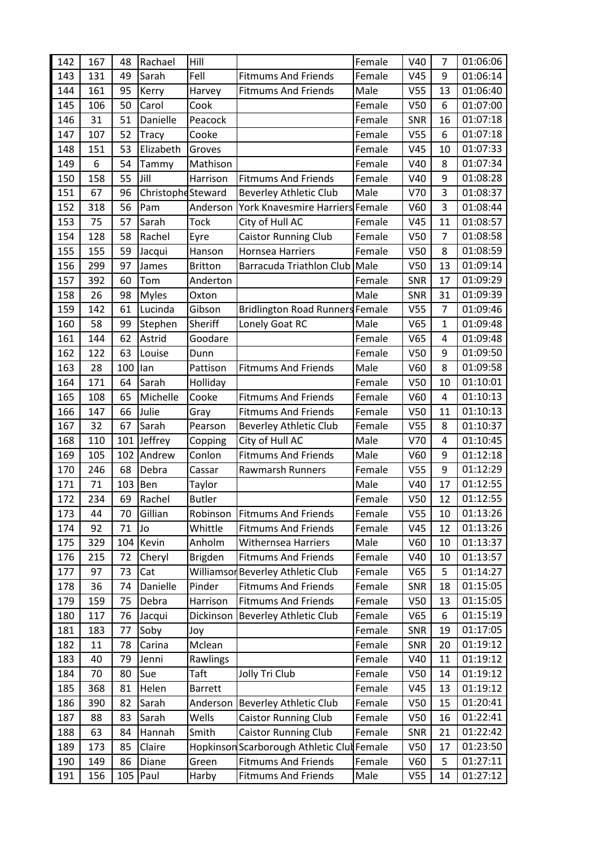| 142 | 167 | 48  | Rachael           | Hill           |                                            | Female | V40             | 7              | 01:06:06 |
|-----|-----|-----|-------------------|----------------|--------------------------------------------|--------|-----------------|----------------|----------|
| 143 | 131 | 49  | Sarah             | Fell           | <b>Fitmums And Friends</b>                 | Female | V45             | 9              | 01:06:14 |
| 144 | 161 | 95  | Kerry             | Harvey         | <b>Fitmums And Friends</b>                 | Male   | V <sub>55</sub> | 13             | 01:06:40 |
| 145 | 106 | 50  | Carol             | Cook           |                                            | Female | V <sub>50</sub> | 6              | 01:07:00 |
| 146 | 31  | 51  | Danielle          | Peacock        |                                            | Female | SNR             | 16             | 01:07:18 |
| 147 | 107 | 52  | <b>Tracy</b>      | Cooke          |                                            | Female | V <sub>55</sub> | 6              | 01:07:18 |
| 148 | 151 | 53  | Elizabeth         | Groves         |                                            | Female | V45             | 10             | 01:07:33 |
| 149 | 6   | 54  | Tammy             | Mathison       |                                            | Female | V40             | 8              | 01:07:34 |
| 150 | 158 | 55  | Jill              | Harrison       | <b>Fitmums And Friends</b>                 | Female | V40             | 9              | 01:08:28 |
| 151 | 67  | 96  | ChristopheSteward |                | <b>Beverley Athletic Club</b>              | Male   | V70             | 3              | 01:08:37 |
| 152 | 318 | 56  | Pam               | Anderson       | York Knavesmire Harriers Female            |        | V60             | 3              | 01:08:44 |
| 153 | 75  | 57  | Sarah             | <b>Tock</b>    | City of Hull AC                            | Female | V45             | 11             | 01:08:57 |
| 154 | 128 | 58  | Rachel            | Eyre           | <b>Caistor Running Club</b>                | Female | V <sub>50</sub> | 7              | 01:08:58 |
| 155 | 155 | 59  | Jacqui            | Hanson         | Hornsea Harriers                           | Female | V <sub>50</sub> | 8              | 01:08:59 |
| 156 | 299 | 97  | James             | <b>Britton</b> | Barracuda Triathlon Club Male              |        | V <sub>50</sub> | 13             | 01:09:14 |
| 157 | 392 | 60  | Tom               | Anderton       |                                            | Female | SNR             | 17             | 01:09:29 |
| 158 | 26  | 98  | <b>Myles</b>      | Oxton          |                                            | Male   | SNR             | 31             | 01:09:39 |
| 159 | 142 | 61  | Lucinda           | Gibson         | <b>Bridlington Road Runners Female</b>     |        | V <sub>55</sub> | $\overline{7}$ | 01:09:46 |
| 160 | 58  | 99  | Stephen           | Sheriff        | Lonely Goat RC                             | Male   | V65             | $\mathbf{1}$   | 01:09:48 |
| 161 | 144 | 62  | Astrid            | Goodare        |                                            | Female | V65             | 4              | 01:09:48 |
| 162 | 122 | 63  | Louise            | Dunn           |                                            | Female | V <sub>50</sub> | 9              | 01:09:50 |
| 163 | 28  | 100 | lan               | Pattison       | <b>Fitmums And Friends</b>                 | Male   | V60             | 8              | 01:09:58 |
| 164 | 171 | 64  | Sarah             | Holliday       |                                            | Female | V <sub>50</sub> | 10             | 01:10:01 |
| 165 | 108 | 65  | Michelle          | Cooke          | <b>Fitmums And Friends</b>                 | Female | V60             | 4              | 01:10:13 |
| 166 | 147 | 66  | Julie             | Gray           | <b>Fitmums And Friends</b>                 | Female | V <sub>50</sub> | 11             | 01:10:13 |
| 167 | 32  | 67  | Sarah             | Pearson        | <b>Beverley Athletic Club</b>              | Female | V <sub>55</sub> | 8              | 01:10:37 |
| 168 | 110 | 101 | Jeffrey           | Copping        | City of Hull AC                            | Male   | V70             | 4              | 01:10:45 |
| 169 | 105 | 102 | Andrew            | Conlon         | <b>Fitmums And Friends</b>                 | Male   | V60             | 9              | 01:12:18 |
| 170 | 246 | 68  | Debra             | Cassar         | Rawmarsh Runners                           | Female | V <sub>55</sub> | 9              | 01:12:29 |
| 171 | 71  | 103 | Ben               | Taylor         |                                            | Male   | V40             | 17             | 01:12:55 |
| 172 | 234 | 69  | Rachel            | <b>Butler</b>  |                                            | Female | V <sub>50</sub> | 12             | 01:12:55 |
| 173 | 44  | 70  | Gillian           | Robinson       | <b>Fitmums And Friends</b>                 | Female | V <sub>55</sub> | 10             | 01:13:26 |
| 174 | 92  | 71  | Jo                | Whittle        | <b>Fitmums And Friends</b>                 | Female | V45             | 12             | 01:13:26 |
| 175 | 329 | 104 | Kevin             | Anholm         | <b>Withernsea Harriers</b>                 | Male   | V60             | 10             | 01:13:37 |
| 176 | 215 | 72  | Cheryl            | <b>Brigden</b> | <b>Fitmums And Friends</b>                 | Female | V40             | 10             | 01:13:57 |
| 177 | 97  | 73  | Cat               |                | Williamsor Beverley Athletic Club          | Female | V65             | 5              | 01:14:27 |
| 178 | 36  | 74  | Danielle          | Pinder         | <b>Fitmums And Friends</b>                 | Female | SNR             | 18             | 01:15:05 |
| 179 | 159 | 75  | Debra             | Harrison       | <b>Fitmums And Friends</b>                 | Female | V <sub>50</sub> | 13             | 01:15:05 |
| 180 | 117 | 76  | Jacqui            | Dickinson      | <b>Beverley Athletic Club</b>              | Female | V65             | 6              | 01:15:19 |
| 181 | 183 | 77  | Soby              | Joy            |                                            | Female | SNR             | 19             | 01:17:05 |
| 182 | 11  | 78  | Carina            | Mclean         |                                            | Female | SNR             | 20             | 01:19:12 |
| 183 | 40  | 79  | Jenni             | Rawlings       |                                            | Female | V40             | 11             | 01:19:12 |
| 184 | 70  | 80  | Sue               | Taft           | Jolly Tri Club                             | Female | V <sub>50</sub> | 14             | 01:19:12 |
| 185 | 368 | 81  | Helen             | <b>Barrett</b> |                                            | Female | V45             | 13             | 01:19:12 |
| 186 | 390 | 82  | Sarah             | Anderson       | <b>Beverley Athletic Club</b>              | Female | V <sub>50</sub> | 15             | 01:20:41 |
| 187 | 88  | 83  | Sarah             | Wells          | <b>Caistor Running Club</b>                | Female | V50             | 16             | 01:22:41 |
| 188 | 63  | 84  | Hannah            | Smith          | <b>Caistor Running Club</b>                | Female | SNR             | 21             | 01:22:42 |
| 189 | 173 | 85  | Claire            |                | Hopkinson Scarborough Athletic Clut Female |        | V <sub>50</sub> | 17             | 01:23:50 |
| 190 | 149 | 86  | Diane             | Green          | <b>Fitmums And Friends</b>                 | Female | V60             | 5              | 01:27:11 |
| 191 | 156 | 105 | Paul              | Harby          | <b>Fitmums And Friends</b>                 | Male   | V <sub>55</sub> | 14             | 01:27:12 |